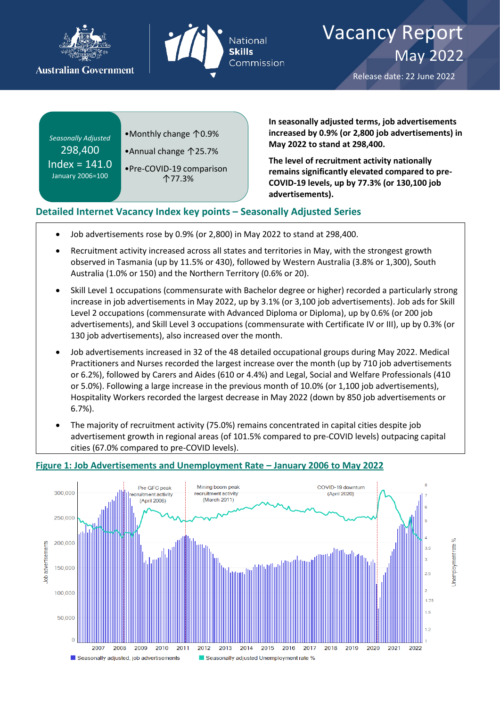



# Vacancy Report May 2022

Release date: 22 June 2022

Jnemployment rate

*Seasonally Adjusted* 298,400  $Index = 141.0$ January 2006=100

- •Monthly change ↑0.9%
- •Annual change ↑25.7%

•Pre-COVID-19 comparison ↑77.3%

**In seasonally adjusted terms, job advertisements increased by 0.9% (or 2,800 job advertisements) in May 2022 to stand at 298,400.**

**The level of recruitment activity nationally remains significantly elevated compared to pre-COVID-19 levels, up by 77.3% (or 130,100 job advertisements).**

# **Detailed Internet Vacancy Index key points – Seasonally Adjusted Series**

- Job advertisements rose by 0.9% (or 2,800) in May 2022 to stand at 298,400.
- Recruitment activity increased across all states and territories in May, with the strongest growth observed in Tasmania (up by 11.5% or 430), followed by Western Australia (3.8% or 1,300), South Australia (1.0% or 150) and the Northern Territory (0.6% or 20).
- Skill Level 1 occupations (commensurate with Bachelor degree or higher) recorded a particularly strong increase in job advertisements in May 2022, up by 3.1% (or 3,100 job advertisements). Job ads for Skill Level 2 occupations (commensurate with Advanced Diploma or Diploma), up by 0.6% (or 200 job advertisements), and Skill Level 3 occupations (commensurate with Certificate IV or III), up by 0.3% (or 130 job advertisements), also increased over the month.
- Job advertisements increased in 32 of the 48 detailed occupational groups during May 2022. Medical Practitioners and Nurses recorded the largest increase over the month (up by 710 job advertisements or 6.2%), followed by Carers and Aides (610 or 4.4%) and Legal, Social and Welfare Professionals (410 or 5.0%). Following a large increase in the previous month of 10.0% (or 1,100 job advertisements), Hospitality Workers recorded the largest decrease in May 2022 (down by 850 job advertisements or 6.7%).
- The majority of recruitment activity (75.0%) remains concentrated in capital cities despite job advertisement growth in regional areas (of 101.5% compared to pre-COVID levels) outpacing capital cities (67.0% compared to pre-COVID levels).



#### **Figure 1: Job Advertisements and Unemployment Rate – January 2006 to May 2022**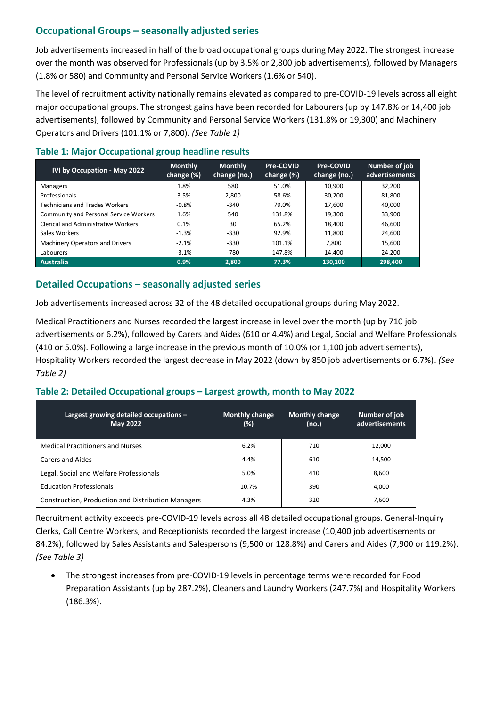# **Occupational Groups – seasonally adjusted series**

Job advertisements increased in half of the broad occupational groups during May 2022. The strongest increase over the month was observed for Professionals (up by 3.5% or 2,800 job advertisements), followed by Managers (1.8% or 580) and Community and Personal Service Workers (1.6% or 540).

The level of recruitment activity nationally remains elevated as compared to pre-COVID-19 levels across all eight major occupational groups. The strongest gains have been recorded for Labourers (up by 147.8% or 14,400 job advertisements), followed by Community and Personal Service Workers (131.8% or 19,300) and Machinery Operators and Drivers (101.1% or 7,800). *(See Table 1)*

### **Table 1: Major Occupational group headline results**

| IVI by Occupation - May 2022                  | <b>Monthly</b><br>change (%) | <b>Monthly</b><br>change (no.) | Pre-COVID<br>change (%) | Pre-COVID<br>change (no.) | Number of job<br>advertisements |
|-----------------------------------------------|------------------------------|--------------------------------|-------------------------|---------------------------|---------------------------------|
| <b>Managers</b>                               | 1.8%                         | 580                            | 51.0%                   | 10,900                    | 32,200                          |
| Professionals                                 | 3.5%                         | 2,800                          | 58.6%                   | 30,200                    | 81,800                          |
| <b>Technicians and Trades Workers</b>         | $-0.8%$                      | $-340$                         | 79.0%                   | 17,600                    | 40.000                          |
| <b>Community and Personal Service Workers</b> | 1.6%                         | 540                            | 131.8%                  | 19.300                    | 33,900                          |
| <b>Clerical and Administrative Workers</b>    | 0.1%                         | 30                             | 65.2%                   | 18,400                    | 46,600                          |
| Sales Workers                                 | $-1.3%$                      | $-330$                         | 92.9%                   | 11.800                    | 24.600                          |
| Machinery Operators and Drivers               | $-2.1%$                      | $-330$                         | 101.1%                  | 7.800                     | 15,600                          |
| Labourers                                     | $-3.1%$                      | $-780$                         | 147.8%                  | 14,400                    | 24,200                          |
| <b>Australia</b>                              | 0.9%                         | 2.800                          | 77.3%                   | 130.100                   | 298,400                         |

# **Detailed Occupations – seasonally adjusted series**

Job advertisements increased across 32 of the 48 detailed occupational groups during May 2022.

Medical Practitioners and Nurses recorded the largest increase in level over the month (up by 710 job advertisements or 6.2%), followed by Carers and Aides (610 or 4.4%) and Legal, Social and Welfare Professionals (410 or 5.0%). Following a large increase in the previous month of 10.0% (or 1,100 job advertisements), Hospitality Workers recorded the largest decrease in May 2022 (down by 850 job advertisements or 6.7%). *(See Table 2)*

### **Table 2: Detailed Occupational groups – Largest growth, month to May 2022**

| Largest growing detailed occupations $-$<br><b>May 2022</b> | Monthly change<br>(%) | <b>Monthly change</b><br>(no.) | Number of job<br>advertisements |
|-------------------------------------------------------------|-----------------------|--------------------------------|---------------------------------|
| <b>Medical Practitioners and Nurses</b>                     | 6.2%                  | 710                            | 12.000                          |
| <b>Carers and Aides</b>                                     | 4.4%                  | 610                            | 14.500                          |
| Legal, Social and Welfare Professionals                     | 5.0%                  | 410                            | 8.600                           |
| <b>Education Professionals</b>                              | 10.7%                 | 390                            | 4.000                           |
| Construction, Production and Distribution Managers          | 4.3%                  | 320                            | 7.600                           |

Recruitment activity exceeds pre-COVID-19 levels across all 48 detailed occupational groups. General-Inquiry Clerks, Call Centre Workers, and Receptionists recorded the largest increase (10,400 job advertisements or 84.2%), followed by Sales Assistants and Salespersons (9,500 or 128.8%) and Carers and Aides (7,900 or 119.2%). *(See Table 3)*

• The strongest increases from pre-COVID-19 levels in percentage terms were recorded for Food Preparation Assistants (up by 287.2%), Cleaners and Laundry Workers (247.7%) and Hospitality Workers (186.3%).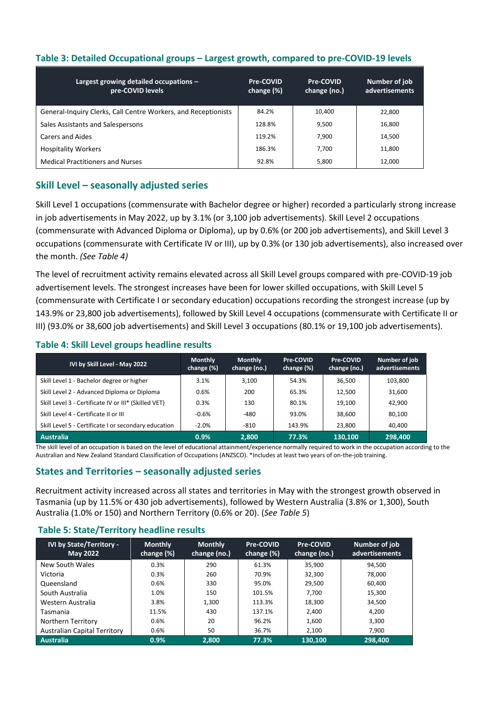|  |  | Table 3: Detailed Occupational groups - Largest growth, compared to pre-COVID-19 levels |
|--|--|-----------------------------------------------------------------------------------------|
|--|--|-----------------------------------------------------------------------------------------|

| Largest growing detailed occupations -<br>pre-COVID levels     | Pre-COVID<br>change (%) | Pre-COVID<br>change (no.) | Number of job<br>advertisements |
|----------------------------------------------------------------|-------------------------|---------------------------|---------------------------------|
| General-Inquiry Clerks, Call Centre Workers, and Receptionists | 84.2%                   | 10.400                    | 22,800                          |
| Sales Assistants and Salespersons                              | 128.8%                  | 9.500                     | 16,800                          |
| Carers and Aides                                               | 119.2%                  | 7.900                     | 14,500                          |
| <b>Hospitality Workers</b>                                     | 186.3%                  | 7.700                     | 11,800                          |
| <b>Medical Practitioners and Nurses</b>                        | 92.8%                   | 5.800                     | 12,000                          |

# **Skill Level – seasonally adjusted series**

Skill Level 1 occupations (commensurate with Bachelor degree or higher) recorded a particularly strong increase in job advertisements in May 2022, up by 3.1% (or 3,100 job advertisements). Skill Level 2 occupations (commensurate with Advanced Diploma or Diploma), up by 0.6% (or 200 job advertisements), and Skill Level 3 occupations (commensurate with Certificate IV or III), up by 0.3% (or 130 job advertisements), also increased over the month. *(See Table 4)*

The level of recruitment activity remains elevated across all Skill Level groups compared with pre-COVID-19 job advertisement levels. The strongest increases have been for lower skilled occupations, with Skill Level 5 (commensurate with Certificate I or secondary education) occupations recording the strongest increase (up by 143.9% or 23,800 job advertisements), followed by Skill Level 4 occupations (commensurate with Certificate II or III) (93.0% or 38,600 job advertisements) and Skill Level 3 occupations (80.1% or 19,100 job advertisements).

#### **Table 4: Skill Level groups headline results**

| IVI by Skill Level - May 2022                        | <b>Monthly</b><br>change (%) | <b>Monthly</b><br>change (no.) | Pre-COVID<br>change (%) | Pre-COVID<br>change (no.) | Number of job<br>advertisements |
|------------------------------------------------------|------------------------------|--------------------------------|-------------------------|---------------------------|---------------------------------|
| Skill Level 1 - Bachelor degree or higher            | 3.1%                         | 3,100                          | 54.3%                   | 36,500                    | 103,800                         |
| Skill Level 2 - Advanced Diploma or Diploma          | 0.6%                         | 200                            | 65.3%                   | 12.500                    | 31,600                          |
| Skill Level 3 - Certificate IV or III* (Skilled VET) | 0.3%                         | 130                            | 80.1%                   | 19,100                    | 42.900                          |
| Skill Level 4 - Certificate II or III                | $-0.6%$                      | -480                           | 93.0%                   | 38.600                    | 80.100                          |
| Skill Level 5 - Certificate I or secondary education | $-2.0\%$                     | $-810$                         | 143.9%                  | 23,800                    | 40.400                          |
| Australia                                            | 0.9%                         | 2,800                          | 77.3%                   | 130.100                   | 298,400                         |

The skill level of an occupation is based on the level of educational attainment/experience normally required to work in the occupation according to the Australian and New Zealand Standard Classification of Occupations (ANZSCO). \*Includes at least two years of on-the-job training.

### **States and Territories – seasonally adjusted series**

Recruitment activity increased across all states and territories in May with the strongest growth observed in Tasmania (up by 11.5% or 430 job advertisements), followed by Western Australia (3.8% or 1,300), South Australia (1.0% or 150) and Northern Territory (0.6% or 20). (*See Table 5*)

#### **Table 5: State/Territory headline results**

| <b>IVI by State/Territory -</b><br>May 2022 | <b>Monthly</b><br>change (%) | <b>Monthly</b><br>change (no.) | Pre-COVID<br>change (%) | Pre-COVID<br>change (no.) | Number of job<br>advertisements |
|---------------------------------------------|------------------------------|--------------------------------|-------------------------|---------------------------|---------------------------------|
| New South Wales                             | 0.3%                         | 290                            | 61.3%                   | 35.900                    | 94.500                          |
| Victoria                                    | 0.3%                         | 260                            | 70.9%                   | 32.300                    | 78,000                          |
| Queensland                                  | 0.6%                         | 330                            | 95.0%                   | 29.500                    | 60,400                          |
| South Australia                             | 1.0%                         | 150                            | 101.5%                  | 7.700                     | 15,300                          |
| Western Australia                           | 3.8%                         | 1.300                          | 113.3%                  | 18.300                    | 34,500                          |
| Tasmania                                    | 11.5%                        | 430                            | 137.1%                  | 2.400                     | 4.200                           |
| Northern Territory                          | 0.6%                         | 20                             | 96.2%                   | 1.600                     | 3.300                           |
| <b>Australian Capital Territory</b>         | 0.6%                         | 50                             | 36.7%                   | 2.100                     | 7.900                           |
| <b>Australia</b>                            | 0.9%                         | 2.800                          | 77.3%                   | 130.100                   | 298,400                         |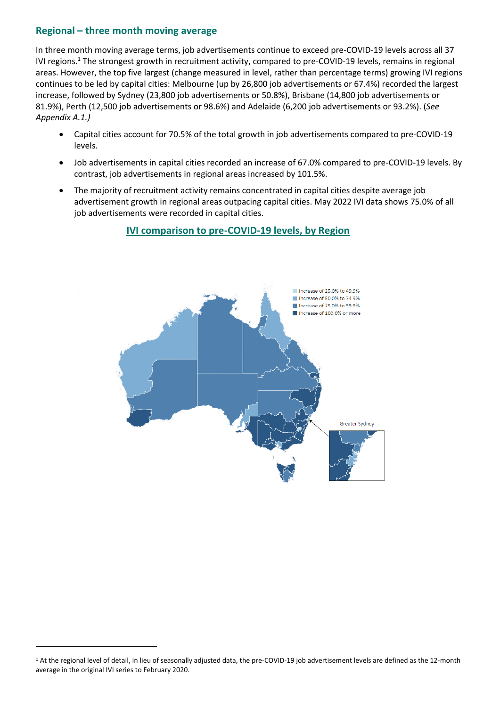### **Regional – three month moving average**

In three month moving average terms, job advertisements continue to exceed pre-COVID-19 levels across all 37 IVI regions.<sup>1</sup> The strongest growth in recruitment activity, compared to pre-COVID-19 levels, remains in regional areas. However, the top five largest (change measured in level, rather than percentage terms) growing IVI regions continues to be led by capital cities: Melbourne (up by 26,800 job advertisements or 67.4%) recorded the largest increase, followed by Sydney (23,800 job advertisements or 50.8%), Brisbane (14,800 job advertisements or 81.9%), Perth (12,500 job advertisements or 98.6%) and Adelaide (6,200 job advertisements or 93.2%). (*See Appendix A.1.)*

- Capital cities account for 70.5% of the total growth in job advertisements compared to pre-COVID-19 levels.
- Job advertisements in capital cities recorded an increase of 67.0% compared to pre-COVID-19 levels. By contrast, job advertisements in regional areas increased by 101.5%.
- The majority of recruitment activity remains concentrated in capital cities despite average job advertisement growth in regional areas outpacing capital cities. May 2022 IVI data shows 75.0% of all job advertisements were recorded in capital cities.



**IVI comparison to pre-COVID-19 levels, by Region**

<sup>&</sup>lt;sup>1</sup> At the regional level of detail, in lieu of seasonally adjusted data, the pre-COVID-19 job advertisement levels are defined as the 12-month average in the original IVI series to February 2020.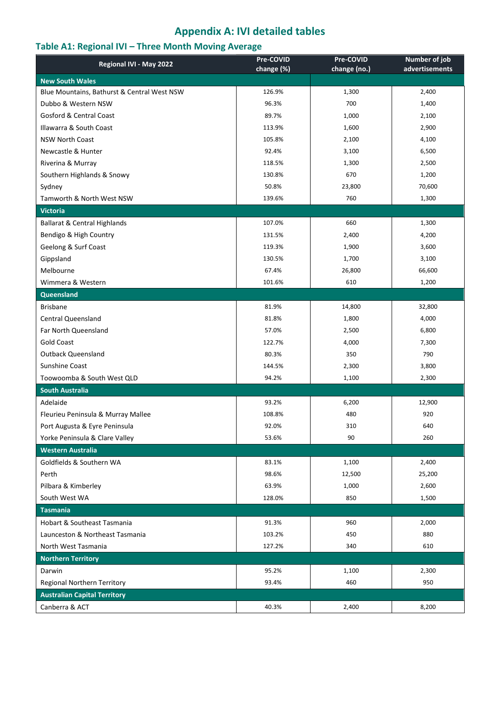# **Appendix A: IVI detailed tables**

# **Table A1: Regional IVI – Three Month Moving Average**

| Regional IVI - May 2022                                            | Pre-COVID  | Pre-COVID    | Number of job  |
|--------------------------------------------------------------------|------------|--------------|----------------|
|                                                                    | change (%) | change (no.) | advertisements |
| <b>New South Wales</b>                                             |            |              |                |
| Blue Mountains, Bathurst & Central West NSW<br>Dubbo & Western NSW | 126.9%     | 1,300        | 2,400          |
|                                                                    | 96.3%      | 700          | 1,400          |
| <b>Gosford &amp; Central Coast</b>                                 | 89.7%      | 1,000        | 2,100          |
| Illawarra & South Coast                                            | 113.9%     | 1,600        | 2,900          |
| <b>NSW North Coast</b>                                             | 105.8%     | 2,100        | 4,100          |
| Newcastle & Hunter                                                 | 92.4%      | 3,100        | 6,500          |
| Riverina & Murray                                                  | 118.5%     | 1,300        | 2,500          |
| Southern Highlands & Snowy                                         | 130.8%     | 670          | 1,200          |
| Sydney                                                             | 50.8%      | 23,800       | 70,600         |
| Tamworth & North West NSW                                          | 139.6%     | 760          | 1,300          |
| <b>Victoria</b>                                                    |            |              |                |
| <b>Ballarat &amp; Central Highlands</b>                            | 107.0%     | 660          | 1,300          |
| Bendigo & High Country                                             | 131.5%     | 2,400        | 4,200          |
| Geelong & Surf Coast                                               | 119.3%     | 1,900        | 3,600          |
| Gippsland                                                          | 130.5%     | 1,700        | 3,100          |
| Melbourne                                                          | 67.4%      | 26,800       | 66,600         |
| Wimmera & Western                                                  | 101.6%     | 610          | 1,200          |
| Queensland                                                         |            |              |                |
| <b>Brisbane</b>                                                    | 81.9%      | 14,800       | 32,800         |
| <b>Central Queensland</b>                                          | 81.8%      | 1,800        | 4,000          |
| Far North Queensland                                               | 57.0%      | 2,500        | 6,800          |
| <b>Gold Coast</b>                                                  | 122.7%     | 4,000        | 7,300          |
| <b>Outback Queensland</b>                                          | 80.3%      | 350          | 790            |
| Sunshine Coast                                                     | 144.5%     | 2,300        | 3,800          |
| Toowoomba & South West QLD                                         | 94.2%      | 1,100        | 2,300          |
| <b>South Australia</b>                                             |            |              |                |
| Adelaide                                                           | 93.2%      | 6,200        | 12,900         |
| Fleurieu Peninsula & Murray Mallee                                 | 108.8%     | 480          | 920            |
| Port Augusta & Eyre Peninsula                                      | 92.0%      | 310          | 640            |
| Yorke Peninsula & Clare Valley                                     | 53.6%      | 90           | 260            |
| <b>Western Australia</b>                                           |            |              |                |
| Goldfields & Southern WA                                           | 83.1%      | 1,100        | 2,400          |
| Perth                                                              | 98.6%      | 12,500       | 25,200         |
| Pilbara & Kimberley                                                | 63.9%      | 1,000        | 2,600          |
| South West WA                                                      | 128.0%     | 850          | 1,500          |
| <b>Tasmania</b>                                                    |            |              |                |
| <b>Hobart &amp; Southeast Tasmania</b>                             | 91.3%      | 960          | 2,000          |
| Launceston & Northeast Tasmania                                    | 103.2%     | 450          | 880            |
| North West Tasmania                                                | 127.2%     | 340          | 610            |
| <b>Northern Territory</b>                                          |            |              |                |
| Darwin                                                             | 95.2%      | 1,100        | 2,300          |
| Regional Northern Territory                                        | 93.4%      | 460          | 950            |
| <b>Australian Capital Territory</b>                                |            |              |                |
| Canberra & ACT                                                     | 40.3%      | 2,400        | 8,200          |
|                                                                    |            |              |                |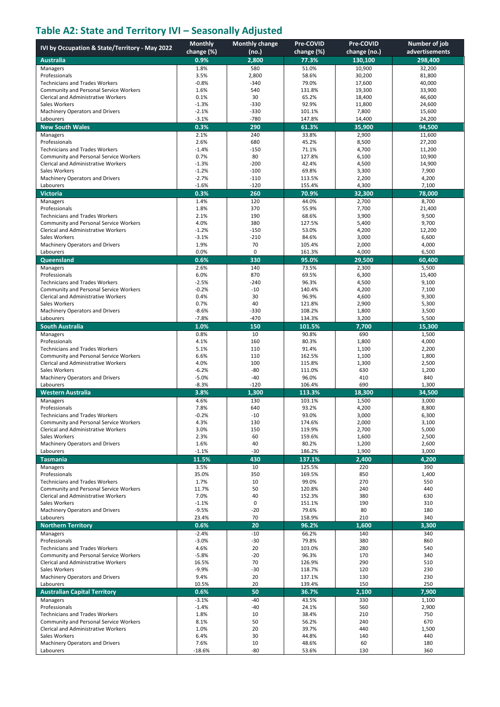# **Table A2: State and Territory IVI – Seasonally Adjusted**

|                                                                          | <b>Monthly</b>     | <b>Monthly change</b> | Pre-COVID        | Pre-COVID        | Number of job    |
|--------------------------------------------------------------------------|--------------------|-----------------------|------------------|------------------|------------------|
| IVI by Occupation & State/Territory - May 2022                           | change (%)         | (no.)                 | change (%)       | change (no.)     | advertisements   |
| <b>Australia</b>                                                         | 0.9%               | 2,800                 | 77.3%            | 130,100          | 298,400          |
| Managers                                                                 | 1.8%               | 580                   | 51.0%            | 10,900           | 32,200           |
| Professionals<br><b>Technicians and Trades Workers</b>                   | 3.5%<br>$-0.8%$    | 2,800<br>$-340$       | 58.6%<br>79.0%   | 30,200<br>17,600 | 81,800<br>40,000 |
| Community and Personal Service Workers                                   | 1.6%               | 540                   | 131.8%           | 19,300           | 33,900           |
| <b>Clerical and Administrative Workers</b>                               | 0.1%               | 30                    | 65.2%            | 18,400           | 46,600           |
| Sales Workers                                                            | $-1.3%$            | $-330$                | 92.9%            | 11,800           | 24,600           |
| Machinery Operators and Drivers                                          | $-2.1%$            | $-330$                | 101.1%           | 7,800            | 15,600           |
| Labourers                                                                | $-3.1%$            | $-780$                | 147.8%           | 14,400           | 24,200           |
| <b>New South Wales</b>                                                   | 0.3%               | 290                   | 61.3%            | 35,900           | 94,500           |
| Managers<br>Professionals                                                | 2.1%<br>2.6%       | 240<br>680            | 33.8%<br>45.2%   | 2,900<br>8,500   | 11,600<br>27,200 |
| <b>Technicians and Trades Workers</b>                                    | $-1.4%$            | $-150$                | 71.1%            | 4,700            | 11,200           |
| Community and Personal Service Workers                                   | 0.7%               | 80                    | 127.8%           | 6,100            | 10,900           |
| <b>Clerical and Administrative Workers</b>                               | $-1.3%$            | $-200$                | 42.4%            | 4,500            | 14,900           |
| Sales Workers                                                            | $-1.2%$            | $-100$                | 69.8%            | 3,300            | 7,900            |
| Machinery Operators and Drivers<br>Labourers                             | $-2.7%$            | $-110$<br>$-120$      | 113.5%           | 2,200            | 4,200            |
| <b>Victoria</b>                                                          | $-1.6%$<br>0.3%    | 260                   | 155.4%<br>70.9%  | 4,300<br>32,300  | 7,100<br>78,000  |
| Managers                                                                 | 1.4%               | 120                   | 44.0%            | 2,700            | 8,700            |
| Professionals                                                            | 1.8%               | 370                   | 55.9%            | 7,700            | 21,400           |
| <b>Technicians and Trades Workers</b>                                    | 2.1%               | 190                   | 68.6%            | 3,900            | 9,500            |
| <b>Community and Personal Service Workers</b>                            | 4.0%               | 380                   | 127.5%           | 5,400            | 9,700            |
| <b>Clerical and Administrative Workers</b>                               | $-1.2%$            | $-150$                | 53.0%            | 4,200            | 12,200           |
| Sales Workers                                                            | $-3.1%$            | $-210$<br>70          | 84.6%            | 3,000            | 6,600            |
| Machinery Operators and Drivers<br>Labourers                             | 1.9%<br>0.0%       | 0                     | 105.4%<br>161.3% | 2,000<br>4,000   | 4,000<br>6,500   |
| Queensland                                                               | 0.6%               | 330                   | 95.0%            | 29,500           | 60,400           |
| Managers                                                                 | 2.6%               | 140                   | 73.5%            | 2,300            | 5,500            |
| Professionals                                                            | 6.0%               | 870                   | 69.5%            | 6,300            | 15,400           |
| <b>Technicians and Trades Workers</b>                                    | $-2.5%$            | $-240$                | 96.3%            | 4,500            | 9,100            |
| Community and Personal Service Workers                                   | $-0.2%$            | $-10$                 | 140.4%           | 4,200            | 7,100            |
| <b>Clerical and Administrative Workers</b>                               | 0.4%               | 30<br>40              | 96.9%            | 4,600            | 9,300            |
| Sales Workers<br>Machinery Operators and Drivers                         | 0.7%<br>$-8.6%$    | $-330$                | 121.8%<br>108.2% | 2,900<br>1,800   | 5,300<br>3,500   |
| Labourers                                                                | $-7.8%$            | $-470$                | 134.3%           | 3,200            | 5,500            |
| <b>South Australia</b>                                                   | 1.0%               | 150                   | 101.5%           | 7,700            | 15,300           |
| Managers                                                                 | 0.8%               | 10                    | 90.8%            | 690              | 1,500            |
| Professionals                                                            | 4.1%               | 160                   | 80.3%            | 1,800            | 4,000            |
| <b>Technicians and Trades Workers</b>                                    | 5.1%               | 110                   | 91.4%            | 1,100            | 2,200            |
| Community and Personal Service Workers                                   | 6.6%               | 110                   | 162.5%           | 1,100            | 1,800            |
| <b>Clerical and Administrative Workers</b><br>Sales Workers              | 4.0%<br>$-6.2%$    | 100<br>$-80$          | 115.8%<br>111.0% | 1,300<br>630     | 2,500<br>1,200   |
| Machinery Operators and Drivers                                          | $-5.0%$            | $-40$                 | 96.0%            | 410              | 840              |
| Labourers                                                                | $-8.3%$            | $-120$                | 106.4%           | 690              | 1,300            |
| <b>Western Australia</b>                                                 | 3.8%               | 1.300                 | 113.3%           | 18,300           | 34,500           |
| Managers                                                                 | 4.6%               | 130                   | 103.1%           | 1,500            | 3,000            |
| Professionals                                                            | 7.8%               | 640                   | 93.2%            | 4,200            | 8,800            |
| Technicians and Trades Workers<br>Community and Personal Service Workers | -0.2%<br>4.3%      | -10<br>130            | 93.0%<br>174.6%  | 3,000<br>2,000   | 6,300<br>3,100   |
| Clerical and Administrative Workers                                      | 3.0%               | 150                   | 119.9%           | 2,700            | 5,000            |
| Sales Workers                                                            | 2.3%               | 60                    | 159.6%           | 1,600            | 2,500            |
| Machinery Operators and Drivers                                          | 1.6%               | 40                    | 80.2%            | 1,200            | 2,600            |
| Labourers                                                                | $-1.1%$            | $-30$                 | 186.2%           | 1,900            | 3,000            |
| <b>Tasmania</b>                                                          | 11.5%              | 430                   | 137.1%           | 2,400            | 4,200            |
| Managers                                                                 | 3.5%               | 10                    | 125.5%           | 220              | 390              |
| Professionals<br><b>Technicians and Trades Workers</b>                   | 35.0%<br>1.7%      | 350<br>10             | 169.5%<br>99.0%  | 850<br>270       | 1,400<br>550     |
| Community and Personal Service Workers                                   | 11.7%              | 50                    | 120.8%           | 240              | 440              |
| <b>Clerical and Administrative Workers</b>                               | 7.0%               | 40                    | 152.3%           | 380              | 630              |
| Sales Workers                                                            | $-1.1%$            | 0                     | 151.1%           | 190              | 310              |
| Machinery Operators and Drivers                                          | $-9.5%$            | $-20$                 | 79.6%            | 80               | 180              |
| Labourers                                                                | 23.4%              | 70                    | 158.9%           | 210              | 340              |
| <b>Northern Territory</b>                                                | 0.6%               | 20                    | 96.2%            | 1,600            | 3,300            |
| Managers<br>Professionals                                                | $-2.4%$<br>$-3.0%$ | $-10$<br>$-30$        | 66.2%<br>79.8%   | 140<br>380       | 340<br>860       |
| <b>Technicians and Trades Workers</b>                                    | 4.6%               | 20                    | 103.0%           | 280              | 540              |
| Community and Personal Service Workers                                   | $-5.8%$            | $-20$                 | 96.3%            | 170              | 340              |
| Clerical and Administrative Workers                                      | 16.5%              | 70                    | 126.9%           | 290              | 510              |
| Sales Workers                                                            | $-9.9%$            | $-30$                 | 118.7%           | 120              | 230              |
| Machinery Operators and Drivers                                          | 9.4%               | 20<br>20              | 137.1%<br>139.4% | 130              | 230<br>250       |
| Labourers<br><b>Australian Capital Territory</b>                         | 10.5%<br>0.6%      | 50                    | 36.7%            | 150<br>2,100     | 7,900            |
| Managers                                                                 | $-3.1%$            | $-40$                 | 43.5%            | 330              | 1,100            |
| Professionals                                                            | $-1.4%$            | $-40$                 | 24.1%            | 560              | 2,900            |
| <b>Technicians and Trades Workers</b>                                    | 1.8%               | 10                    | 38.4%            | 210              | 750              |
| Community and Personal Service Workers                                   | 8.1%               | 50                    | 56.2%            | 240              | 670              |
| Clerical and Administrative Workers                                      | 1.0%               | 20                    | 39.7%            | 440              | 1,500            |
| Sales Workers                                                            | 6.4%<br>7.6%       | 30                    | 44.8%<br>48.6%   | 140              | 440<br>180       |
| Machinery Operators and Drivers<br>Labourers                             | $-18.6%$           | 10<br>$-80$           | 53.6%            | 60<br>130        | 360              |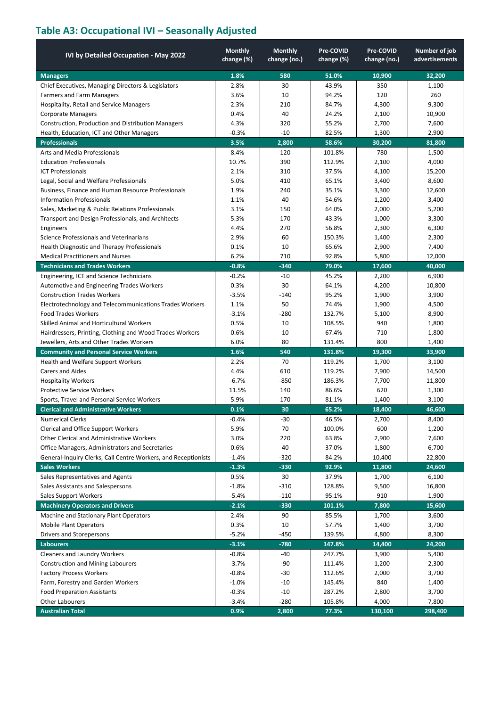# **Table A3: Occupational IVI – Seasonally Adjusted**

| IVI by Detailed Occupation - May 2022                          | <b>Monthly</b><br>change (%) | <b>Monthly</b><br>change (no.) | Pre-COVID<br>change (%) | Pre-COVID<br>change (no.) | Number of job<br>advertisements |
|----------------------------------------------------------------|------------------------------|--------------------------------|-------------------------|---------------------------|---------------------------------|
| <b>Managers</b>                                                | 1.8%                         | 580                            | 51.0%                   | 10,900                    | 32,200                          |
| Chief Executives, Managing Directors & Legislators             | 2.8%                         | 30                             | 43.9%                   | 350                       | 1,100                           |
| <b>Farmers and Farm Managers</b>                               | 3.6%                         | 10                             | 94.2%                   | 120                       | 260                             |
| Hospitality, Retail and Service Managers                       | 2.3%                         | 210                            | 84.7%                   | 4,300                     | 9,300                           |
| <b>Corporate Managers</b>                                      | 0.4%                         | 40                             | 24.2%                   | 2,100                     | 10,900                          |
| Construction, Production and Distribution Managers             | 4.3%                         | 320                            | 55.2%                   | 2,700                     | 7,600                           |
| Health, Education, ICT and Other Managers                      | -0.3%                        | $-10$                          | 82.5%                   | 1,300                     | 2,900                           |
| <b>Professionals</b>                                           | 3.5%                         | 2,800                          | 58.6%                   | 30,200                    | 81,800                          |
| <b>Arts and Media Professionals</b>                            | 8.4%                         | 120                            | 101.8%                  | 780                       | 1,500                           |
| <b>Education Professionals</b>                                 | 10.7%                        | 390                            | 112.9%                  | 2,100                     | 4,000                           |
| <b>ICT Professionals</b>                                       | 2.1%                         | 310                            | 37.5%                   | 4,100                     | 15,200                          |
| Legal, Social and Welfare Professionals                        | 5.0%                         | 410                            | 65.1%                   | 3,400                     | 8,600                           |
| Business, Finance and Human Resource Professionals             | 1.9%                         | 240                            | 35.1%                   | 3,300                     | 12,600                          |
| Information Professionals                                      | 1.1%                         | 40                             | 54.6%                   | 1,200                     | 3,400                           |
| Sales, Marketing & Public Relations Professionals              | 3.1%                         | 150                            | 64.0%                   | 2,000                     | 5,200                           |
| Transport and Design Professionals, and Architects             | 5.3%                         | 170                            | 43.3%                   | 1,000                     | 3,300                           |
| Engineers                                                      | 4.4%                         | 270                            | 56.8%                   | 2,300                     | 6,300                           |
| Science Professionals and Veterinarians                        | 2.9%                         | 60                             | 150.3%                  | 1,400                     | 2,300                           |
| Health Diagnostic and Therapy Professionals                    | 0.1%                         | 10                             | 65.6%                   | 2,900                     | 7,400                           |
| <b>Medical Practitioners and Nurses</b>                        | 6.2%                         | 710                            | 92.8%                   | 5,800                     | 12,000                          |
| <b>Technicians and Trades Workers</b>                          | $-0.8%$                      | $-340$                         | 79.0%                   | 17,600                    | 40,000                          |
| Engineering, ICT and Science Technicians                       | $-0.2%$                      | $-10$                          | 45.2%                   | 2,200                     | 6,900                           |
| Automotive and Engineering Trades Workers                      | 0.3%                         | 30                             | 64.1%                   | 4,200                     | 10,800                          |
| <b>Construction Trades Workers</b>                             | $-3.5%$                      | $-140$                         | 95.2%                   | 1,900                     | 3,900                           |
| Electrotechnology and Telecommunications Trades Workers        | 1.1%                         | 50                             | 74.4%                   | 1,900                     | 4,500                           |
| Food Trades Workers                                            | $-3.1%$                      | $-280$                         | 132.7%                  | 5,100                     | 8,900                           |
| Skilled Animal and Horticultural Workers                       | 0.5%                         | 10                             | 108.5%                  | 940                       | 1,800                           |
| Hairdressers, Printing, Clothing and Wood Trades Workers       | 0.6%                         | 10                             | 67.4%                   | 710                       | 1,800                           |
| Jewellers, Arts and Other Trades Workers                       | 6.0%                         | 80                             | 131.4%                  | 800                       | 1,400                           |
| <b>Community and Personal Service Workers</b>                  | 1.6%                         | 540                            | 131.8%                  | 19,300                    | 33,900                          |
| Health and Welfare Support Workers                             | 2.2%                         | 70                             | 119.2%                  | 1,700                     | 3,100                           |
| <b>Carers and Aides</b>                                        | 4.4%                         | 610                            | 119.2%                  | 7,900                     | 14,500                          |
| <b>Hospitality Workers</b>                                     | $-6.7%$                      | $-850$                         | 186.3%                  | 7,700                     | 11,800                          |
| <b>Protective Service Workers</b>                              | 11.5%                        | 140                            | 86.6%                   | 620                       | 1,300                           |
| Sports, Travel and Personal Service Workers                    | 5.9%                         | 170                            | 81.1%                   | 1,400                     | 3,100                           |
| <b>Clerical and Administrative Workers</b>                     | 0.1%                         | 30                             | 65.2%                   | 18,400                    | 46,600                          |
| <b>Numerical Clerks</b>                                        | $-0.4%$                      | $-30$                          | 46.5%                   | 2,700                     | 8,400                           |
| Clerical and Office Support Workers                            | 5.9%                         | 70                             | 100.0%                  | 600                       | 1,200                           |
| Other Clerical and Administrative Workers                      | 3.0%                         | 220                            | 63.8%                   | 2,900                     | 7,600                           |
| Office Managers, Administrators and Secretaries                | 0.6%                         | 40                             | 37.0%                   | 1,800                     | 6,700                           |
| General-Inquiry Clerks, Call Centre Workers, and Receptionists | $-1.4%$                      | $-320$                         | 84.2%                   | 10,400                    | 22,800                          |
| <b>Sales Workers</b>                                           | $-1.3%$                      | $-330$                         | 92.9%                   | 11,800                    | 24,600                          |
| Sales Representatives and Agents                               | 0.5%                         | 30                             | 37.9%                   | 1,700                     | 6,100                           |
| Sales Assistants and Salespersons                              | $-1.8%$                      | $-310$                         | 128.8%                  | 9,500                     | 16,800                          |
| <b>Sales Support Workers</b>                                   | $-5.4%$                      | $-110$                         | 95.1%                   | 910                       | 1,900                           |
| <b>Machinery Operators and Drivers</b>                         | $-2.1%$                      | $-330$                         | 101.1%                  | 7,800                     | 15,600                          |
| Machine and Stationary Plant Operators                         | 2.4%                         | 90                             | 85.5%                   | 1,700                     | 3,600                           |
| <b>Mobile Plant Operators</b>                                  | 0.3%                         | 10                             | 57.7%                   | 1,400                     | 3,700                           |
| Drivers and Storepersons                                       | $-5.2%$                      | $-450$                         | 139.5%                  | 4,800                     | 8,300                           |
| <b>Labourers</b>                                               | $-3.1%$                      | $-780$                         | 147.8%                  | 14,400                    | 24,200                          |
| <b>Cleaners and Laundry Workers</b>                            | $-0.8%$                      | $-40$                          | 247.7%                  | 3,900                     | 5,400                           |
| <b>Construction and Mining Labourers</b>                       | $-3.7%$                      | $-90$                          | 111.4%                  | 1,200                     | 2,300                           |
| <b>Factory Process Workers</b>                                 | $-0.8%$                      | $-30$                          | 112.6%                  | 2,000                     | 3,700                           |
| Farm, Forestry and Garden Workers                              | $-1.0%$                      | $-10$                          | 145.4%                  | 840                       | 1,400                           |
| <b>Food Preparation Assistants</b>                             | $-0.3%$                      | $-10$                          | 287.2%                  | 2,800                     | 3,700                           |
| <b>Other Labourers</b>                                         | $-3.4%$                      | $-280$                         | 105.8%                  | 4,000                     | 7,800                           |
| <b>Australian Total</b>                                        | 0.9%                         | 2,800                          | 77.3%                   | 130,100                   | 298,400                         |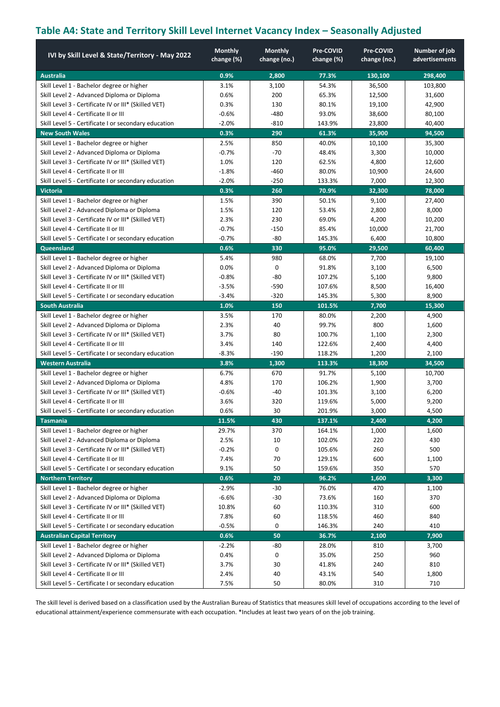# **Table A4: State and Territory Skill Level Internet Vacancy Index – Seasonally Adjusted**

| IVI by Skill Level & State/Territory - May 2022      | <b>Monthly</b><br>change (%) | <b>Monthly</b><br>change (no.) | Pre-COVID<br>change (%) | Pre-COVID<br>change (no.) | Number of job<br>advertisements |
|------------------------------------------------------|------------------------------|--------------------------------|-------------------------|---------------------------|---------------------------------|
| <b>Australia</b>                                     | 0.9%                         | 2,800                          | 77.3%                   | 130,100                   | 298,400                         |
| Skill Level 1 - Bachelor degree or higher            | 3.1%                         | 3,100                          | 54.3%                   | 36,500                    | 103,800                         |
| Skill Level 2 - Advanced Diploma or Diploma          | 0.6%                         | 200                            | 65.3%                   | 12,500                    | 31,600                          |
| Skill Level 3 - Certificate IV or III* (Skilled VET) | 0.3%                         | 130                            | 80.1%                   | 19,100                    | 42,900                          |
| Skill Level 4 - Certificate II or III                | $-0.6%$                      | $-480$                         | 93.0%                   | 38,600                    | 80,100                          |
| Skill Level 5 - Certificate I or secondary education | $-2.0%$                      | $-810$                         | 143.9%                  | 23,800                    | 40,400                          |
| <b>New South Wales</b>                               | 0.3%                         | 290                            | 61.3%                   | 35,900                    | 94,500                          |
| Skill Level 1 - Bachelor degree or higher            | 2.5%                         | 850                            | 40.0%                   | 10,100                    | 35,300                          |
| Skill Level 2 - Advanced Diploma or Diploma          | $-0.7%$                      | $-70$                          | 48.4%                   | 3,300                     | 10,000                          |
| Skill Level 3 - Certificate IV or III* (Skilled VET) | 1.0%                         | 120                            | 62.5%                   | 4,800                     | 12,600                          |
| Skill Level 4 - Certificate II or III                | $-1.8%$                      | $-460$                         | 80.0%                   | 10,900                    | 24,600                          |
| Skill Level 5 - Certificate I or secondary education | $-2.0%$                      | $-250$                         | 133.3%                  | 7,000                     | 12,300                          |
| <b>Victoria</b>                                      | 0.3%                         | 260                            | 70.9%                   | 32,300                    | 78,000                          |
| Skill Level 1 - Bachelor degree or higher            | 1.5%                         | 390                            | 50.1%                   | 9,100                     | 27,400                          |
| Skill Level 2 - Advanced Diploma or Diploma          | 1.5%                         | 120                            | 53.4%                   | 2,800                     | 8,000                           |
| Skill Level 3 - Certificate IV or III* (Skilled VET) | 2.3%                         | 230                            | 69.0%                   | 4,200                     | 10,200                          |
| Skill Level 4 - Certificate II or III                | $-0.7%$                      | $-150$                         | 85.4%                   | 10,000                    | 21,700                          |
| Skill Level 5 - Certificate I or secondary education | $-0.7%$                      | $-80$                          | 145.3%                  | 6,400                     | 10,800                          |
| <b>Queensland</b>                                    | 0.6%                         | 330                            | 95.0%                   | 29,500                    | 60,400                          |
| Skill Level 1 - Bachelor degree or higher            | 5.4%                         | 980                            | 68.0%                   | 7,700                     | 19,100                          |
| Skill Level 2 - Advanced Diploma or Diploma          | 0.0%                         | $\Omega$                       | 91.8%                   | 3,100                     | 6,500                           |
| Skill Level 3 - Certificate IV or III* (Skilled VET) | $-0.8%$                      | -80                            | 107.2%                  | 5,100                     | 9,800                           |
| Skill Level 4 - Certificate II or III                | $-3.5%$                      | $-590$                         | 107.6%                  | 8,500                     | 16,400                          |
| Skill Level 5 - Certificate I or secondary education | $-3.4%$                      | $-320$                         | 145.3%                  | 5,300                     | 8,900                           |
| <b>South Australia</b>                               | 1.0%                         | 150                            | 101.5%                  | 7,700                     | 15,300                          |
| Skill Level 1 - Bachelor degree or higher            | 3.5%                         | 170                            | 80.0%                   | 2,200                     | 4,900                           |
| Skill Level 2 - Advanced Diploma or Diploma          | 2.3%                         | 40                             | 99.7%                   | 800                       | 1,600                           |
| Skill Level 3 - Certificate IV or III* (Skilled VET) | 3.7%                         | 80                             | 100.7%                  | 1,100                     | 2,300                           |
| Skill Level 4 - Certificate II or III                | 3.4%                         | 140                            | 122.6%                  | 2,400                     | 4,400                           |
| Skill Level 5 - Certificate I or secondary education | -8.3%                        | $-190$                         | 118.2%                  | 1,200                     | 2,100                           |
| <b>Western Australia</b>                             | 3.8%                         | 1,300                          | 113.3%                  | 18,300                    | 34,500                          |
| Skill Level 1 - Bachelor degree or higher            | 6.7%                         | 670                            | 91.7%                   | 5,100                     | 10,700                          |
| Skill Level 2 - Advanced Diploma or Diploma          | 4.8%                         | 170                            | 106.2%                  | 1,900                     | 3,700                           |
| Skill Level 3 - Certificate IV or III* (Skilled VET) | $-0.6%$                      | $-40$                          | 101.3%                  | 3,100                     | 6,200                           |
| Skill Level 4 - Certificate II or III                | 3.6%                         | 320                            | 119.6%                  | 5,000                     | 9,200                           |
| Skill Level 5 - Certificate I or secondary education | 0.6%                         | 30                             | 201.9%                  | 3,000                     | 4,500                           |
| <b>Tasmania</b>                                      | 11.5%                        | 430                            | 137.1%                  | 2,400                     | 4,200                           |
| Skill Level 1 - Bachelor degree or higher            | 29.7%                        | 370                            | 164.1%                  | 1,000                     | 1,600                           |
| Skill Level 2 - Advanced Diploma or Diploma          | 2.5%                         | 10                             | 102.0%                  | 220                       | 430                             |
| Skill Level 3 - Certificate IV or III* (Skilled VET) | $-0.2%$                      | 0                              | 105.6%                  | 260                       | 500                             |
| Skill Level 4 - Certificate II or III                | 7.4%                         | 70                             | 129.1%                  | 600                       | 1,100                           |
| Skill Level 5 - Certificate I or secondary education | 9.1%                         | 50                             | 159.6%                  | 350                       | 570                             |
| <b>Northern Territory</b>                            | 0.6%                         | 20                             | 96.2%                   | 1,600                     | 3,300                           |
| Skill Level 1 - Bachelor degree or higher            | $-2.9%$                      | $-30$                          | 76.0%                   | 470                       | 1,100                           |
| Skill Level 2 - Advanced Diploma or Diploma          | $-6.6%$                      | $-30$                          | 73.6%                   | 160                       | 370                             |
| Skill Level 3 - Certificate IV or III* (Skilled VET) | 10.8%                        | 60                             | 110.3%                  | 310                       | 600                             |
| Skill Level 4 - Certificate II or III                | 7.8%                         | 60                             | 118.5%                  | 460                       | 840                             |
| Skill Level 5 - Certificate I or secondary education | $-0.5%$                      | 0                              | 146.3%                  | 240                       | 410                             |
| <b>Australian Capital Territory</b>                  | 0.6%                         | 50                             | 36.7%                   | 2,100                     | 7,900                           |
| Skill Level 1 - Bachelor degree or higher            | $-2.2%$                      | -80                            | 28.0%                   | 810                       | 3,700                           |
| Skill Level 2 - Advanced Diploma or Diploma          | 0.4%                         | 0                              | 35.0%                   | 250                       | 960                             |
| Skill Level 3 - Certificate IV or III* (Skilled VET) | 3.7%                         | 30                             | 41.8%                   | 240                       | 810                             |
| Skill Level 4 - Certificate II or III                | 2.4%                         | 40                             | 43.1%                   | 540                       | 1,800                           |
| Skill Level 5 - Certificate I or secondary education | 7.5%                         | 50                             | 80.0%                   | 310                       | 710                             |

The skill level is derived based on a classification used by the Australian Bureau of Statistics that measures skill level of occupations according to the level of educational attainment/experience commensurate with each occupation. \*Includes at least two years of on the job training.